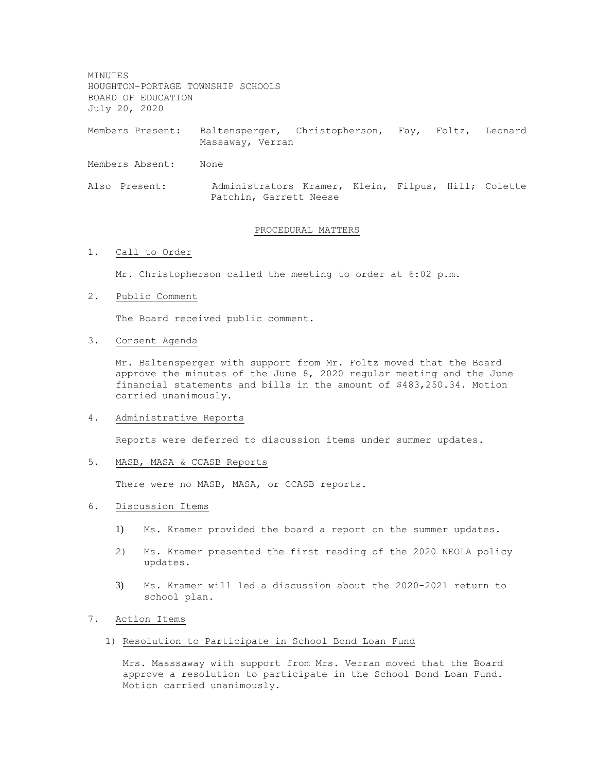MINUTES HOUGHTON-PORTAGE TOWNSHIP SCHOOLS BOARD OF EDUCATION July 20, 2020

Members Present: Baltensperger, Christopherson, Fay, Foltz, Leonard Massaway, Verran

Members Absent: None

Also Present: Administrators Kramer, Klein, Filpus, Hill; Colette Patchin, Garrett Neese

### PROCEDURAL MATTERS

#### 1. Call to Order

Mr. Christopherson called the meeting to order at 6:02 p.m.

## 2. Public Comment

The Board received public comment.

#### 3. Consent Agenda

Mr. Baltensperger with support from Mr. Foltz moved that the Board approve the minutes of the June  $8$ , 2020 regular meeting and the June financial statements and bills in the amount of \$483,250.34. Motion carried unanimously.

#### 4. Administrative Reports

Reports were deferred to discussion items under summer updates.

# 5. MASB, MASA & CCASB Reports

There were no MASB, MASA, or CCASB reports.

#### 6. Discussion Items

- 1) Ms. Kramer provided the board a report on the summer updates.
- 2) Ms. Kramer presented the first reading of the 2020 NEOLA policy updates.
- 3) Ms. Kramer will led a discussion about the 2020-2021 return to school plan.

### 7. Action Items

1) Resolution to Participate in School Bond Loan Fund

Mrs. Masssaway with support from Mrs. Verran moved that the Board approve a resolution to participate in the School Bond Loan Fund. Motion carried unanimously.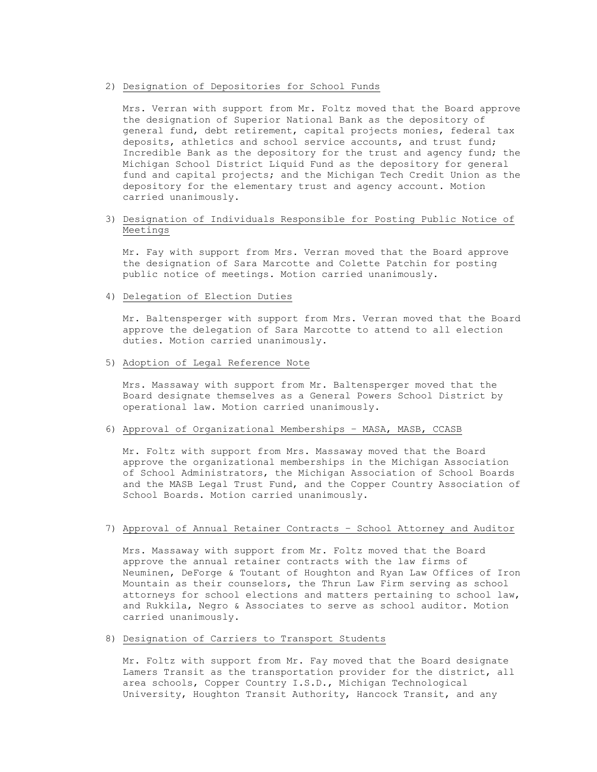## 2) Designation of Depositories for School Funds

Mrs. Verran with support from Mr. Foltz moved that the Board approve the designation of Superior National Bank as the depository of general fund, debt retirement, capital projects monies, federal tax deposits, athletics and school service accounts, and trust fund; Incredible Bank as the depository for the trust and agency fund; the Michigan School District Liquid Fund as the depository for general fund and capital projects; and the Michigan Tech Credit Union as the depository for the elementary trust and agency account. Motion carried unanimously.

## 3) Designation of Individuals Responsible for Posting Public Notice of Meetings

Mr. Fay with support from Mrs. Verran moved that the Board approve the designation of Sara Marcotte and Colette Patchin for posting public notice of meetings. Motion carried unanimously.

4) Delegation of Election Duties

Mr. Baltensperger with support from Mrs. Verran moved that the Board approve the delegation of Sara Marcotte to attend to all election duties. Motion carried unanimously.

#### 5) Adoption of Legal Reference Note

Mrs. Massaway with support from Mr. Baltensperger moved that the Board designate themselves as a General Powers School District by operational law. Motion carried unanimously.

### 6) Approval of Organizational Memberships – MASA, MASB, CCASB

Mr. Foltz with support from Mrs. Massaway moved that the Board approve the organizational memberships in the Michigan Association of School Administrators, the Michigan Association of School Boards and the MASB Legal Trust Fund, and the Copper Country Association of School Boards. Motion carried unanimously.

### 7) Approval of Annual Retainer Contracts – School Attorney and Auditor

Mrs. Massaway with support from Mr. Foltz moved that the Board approve the annual retainer contracts with the law firms of Neuminen, DeForge & Toutant of Houghton and Ryan Law Offices of Iron Mountain as their counselors, the Thrun Law Firm serving as school attorneys for school elections and matters pertaining to school law, and Rukkila, Negro & Associates to serve as school auditor. Motion carried unanimously.

## 8) Designation of Carriers to Transport Students

Mr. Foltz with support from Mr. Fay moved that the Board designate Lamers Transit as the transportation provider for the district, all area schools, Copper Country I.S.D., Michigan Technological University, Houghton Transit Authority, Hancock Transit, and any